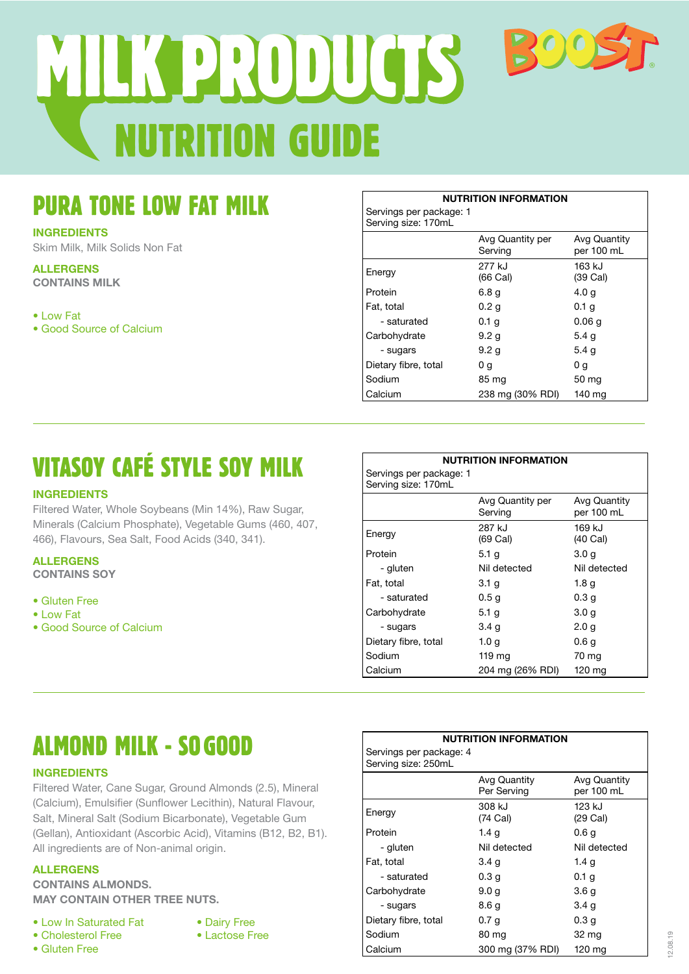# UTRITION GUIDE MIK PRODUCTS BOOS

### PURA TONE LOW FAT MILK

#### **INGREDIENTS**

Skim Milk, Milk Solids Non Fat

**ALLERGENS CONTAINS MILK**

• Low Fat

• Good Source of Calcium

**NUTRITION INFORMATION** Servings per package: 1 Serving size: 170mL Avg Quantity per Serving Avg Quantity per 100 mL Energy 277 kJ (66 Cal) 163 kJ (39 Cal) Protein 6.8 g 4.0 g Fat, total  $0.2 g$  0.1 g  $-$  saturated 0.1 g 0.06 g Carbohydrate 9.2 g 5.4 g  $-$  sugars 9.2 g 5.4 g Dietary fibre, total  $0 g$  0 g Sodium 85 mg 50 mg Calcium 238 mg (30% RDI) 140 mg

## VITASOY CAFÉ STYLE SOY MILK

#### **INGREDIENTS**

Filtered Water, Whole Soybeans (Min 14%), Raw Sugar, Minerals (Calcium Phosphate), Vegetable Gums (460, 407, 466), Flavours, Sea Salt, Food Acids (340, 341).

#### **ALLERGENS**

**CONTAINS SOY**

- Gluten Free
- Low Fat
- Good Source of Calcium

#### **NUTRITION INFORMATION**

Servings per package: 1 Serving size: 170mL

| Serving Size: T/UITIL |                             |                                   |
|-----------------------|-----------------------------|-----------------------------------|
|                       | Avg Quantity per<br>Serving | <b>Avg Quantity</b><br>per 100 mL |
| Energy                | 287 kJ<br>$(69$ Cal)        | 169 kJ<br>$(40$ Cal)              |
| Protein               | 5.1 g                       | 3.0 <sub>g</sub>                  |
| - gluten              | Nil detected                | Nil detected                      |
| Fat, total            | 3.1 <sub>g</sub>            | 1.8 g                             |
| - saturated           | 0.5 <sub>g</sub>            | 0.3 <sub>q</sub>                  |
| Carbohydrate          | 5.1 g                       | 3.0 <sub>g</sub>                  |
| - sugars              | 3.4 <sub>g</sub>            | 2.0 <sub>q</sub>                  |
| Dietary fibre, total  | 1.0 g                       | 0.6g                              |
| Sodium                | 119 ma                      | 70 mg                             |
| Calcium               | 204 mg (26% RDI)            | $120 \text{ mg}$                  |

## ALMOND MILK - SO GOOD

#### **INGREDIENTS**

Filtered Water, Cane Sugar, Ground Almonds (2.5), Mineral (Calcium), Emulsifier (Sunflower Lecithin), Natural Flavour, Salt, Mineral Salt (Sodium Bicarbonate), Vegetable Gum (Gellan), Antioxidant (Ascorbic Acid), Vitamins (B12, B2, B1). All ingredients are of Non-animal origin.

#### **ALLERGENS**

**CONTAINS ALMONDS. MAY CONTAIN OTHER TREE NUTS.**

- Low In Saturated Fat
- Cholesterol Free
- Gluten Free
- Dairy Free
	- Lactose Free

| Servings per package: 4<br>Serving size: 250mL |                             |                            |
|------------------------------------------------|-----------------------------|----------------------------|
|                                                | Avg Quantity<br>Per Serving | Avg Quantity<br>per 100 mL |
| Energy                                         | 308 kJ<br>(74 Cal)          | 123 kJ<br>$(29$ Cal)       |
| Protein                                        | 1.4 g                       | 0.6 <sub>g</sub>           |
| - gluten                                       | Nil detected                | Nil detected               |
| Fat, total                                     | 3.4 <sub>q</sub>            | 1.4 g                      |
| - saturated                                    | 0.3 <sub>g</sub>            | 0.1 <sub>q</sub>           |
| Carbohydrate                                   | 9.0 <sub>g</sub>            | 3.6 <sub>g</sub>           |
| - sugars                                       | 8.6 g                       | 3.4 <sub>g</sub>           |
| Dietary fibre, total                           | 0.7 <sub>g</sub>            | 0.3 <sub>g</sub>           |
| Sodium                                         | 80 mg                       | 32 mg                      |
| Calcium                                        | 300 mg (37% RDI)            | 120 mg                     |

**NUTRITION INFORMATION**